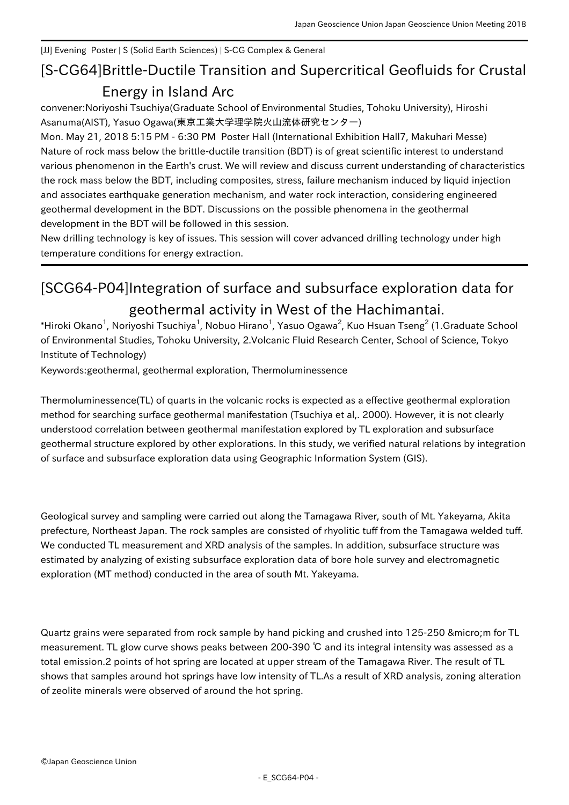## [JJ] Evening Poster | S (Solid Earth Sciences) | S-CG Complex & General

## [S-CG64] Brittle-Ductile Transition and Supercritical Geofluids for Crustal Energy in Island Arc

convener:Noriyoshi Tsuchiya(Graduate School of Environmental Studies, Tohoku University), Hiroshi Asanuma(AIST), Yasuo Ogawa(東京工業大学理学院火山流体研究センター)

Mon. May 21, 2018 5:15 PM - 6:30 PM Poster Hall (International Exhibition Hall7, Makuhari Messe) Nature of rock mass below the brittle-ductile transition (BDT) is of great scientific interest to understand various phenomenon in the Earth's crust. We will review and discuss current understanding of characteristics the rock mass below the BDT, including composites, stress, failure mechanism induced by liquid injection and associates earthquake generation mechanism, and water rock interaction, considering engineered geothermal development in the BDT. Discussions on the possible phenomena in the geothermal development in the BDT will be followed in this session.

New drilling technology is key of issues. This session will cover advanced drilling technology under high temperature conditions for energy extraction.

## [SCG64-P04] Integration of surface and subsurface exploration data for geothermal activity in West of the Hachimantai.

 $^\ast$ Hiroki Okano $^1$ , Noriyoshi Tsuchiya $^1$ , Nobuo Hirano $^1$ , Yasuo Ogawa $^2$ , Kuo Hsuan Tseng $^2$  (1.Graduate School of Environmental Studies, Tohoku University, 2.Volcanic Fluid Research Center, School of Science, Tokyo Institute of Technology)

Keywords:geothermal, geothermal exploration, Thermoluminessence

Thermoluminessence(TL) of quarts in the volcanic rocks is expected as a effective geothermal exploration method for searching surface geothermal manifestation (Tsuchiya et al,. 2000). However, it is not clearly understood correlation between geothermal manifestation explored by TL exploration and subsurface geothermal structure explored by other explorations. In this study, we verified natural relations by integration of surface and subsurface exploration data using Geographic Information System (GIS).

Geological survey and sampling were carried out along the Tamagawa River, south of Mt. Yakeyama, Akita prefecture, Northeast Japan. The rock samples are consisted of rhyolitic tuff from the Tamagawa welded tuff. We conducted TL measurement and XRD analysis of the samples. In addition, subsurface structure was estimated by analyzing of existing subsurface exploration data of bore hole survey and electromagnetic exploration (MT method) conducted in the area of south Mt. Yakeyama.

Quartz grains were separated from rock sample by hand picking and crushed into 125-250 µ m for TL measurement. TL glow curve shows peaks between 200-390 ℃ and its integral intensity was assessed as a total emission.2 points of hot spring are located at upper stream of the Tamagawa River. The result of TL shows that samples around hot springs have low intensity of TL.As a result of XRD analysis, zoning alteration of zeolite minerals were observed of around the hot spring.